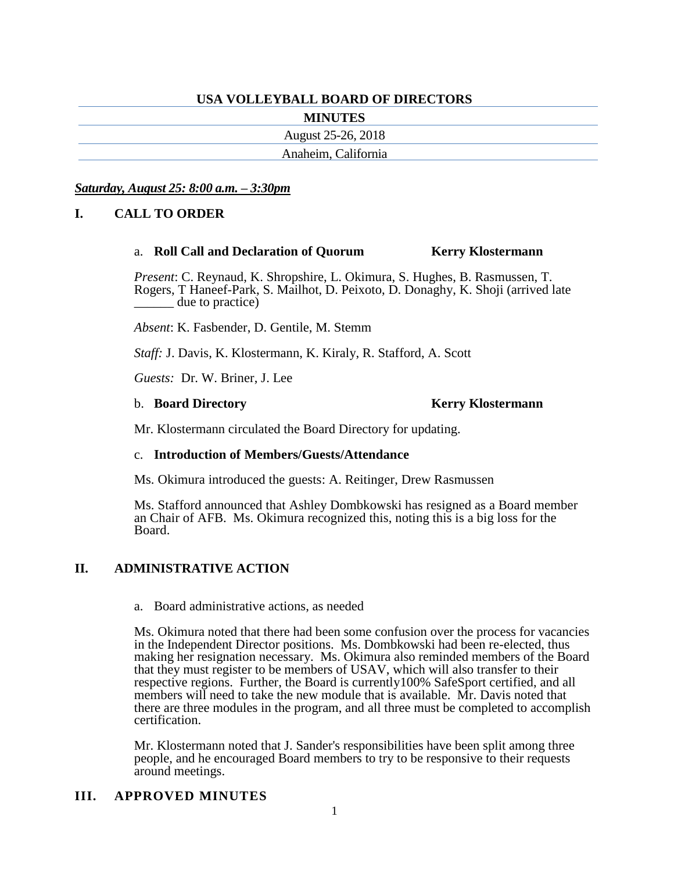# **USA VOLLEYBALL BOARD OF DIRECTORS**

**MINUTES**

August 25-26, 2018

Anaheim, California

# *Saturday, August 25: 8:00 a.m. – 3:30pm*

# **I. CALL TO ORDER**

# a. **Roll Call and Declaration of Quorum Kerry Klostermann**

*Present*: C. Reynaud, K. Shropshire, L. Okimura, S. Hughes, B. Rasmussen, T. Rogers, T Haneef-Park, S. Mailhot, D. Peixoto, D. Donaghy, K. Shoji (arrived late \_\_\_\_\_\_ due to practice)

*Absent*: K. Fasbender, D. Gentile, M. Stemm

*Staff:* J. Davis, K. Klostermann, K. Kiraly, R. Stafford, A. Scott

*Guests:* Dr. W. Briner, J. Lee

### b. **Board Directory Kerry Klostermann**

Mr. Klostermann circulated the Board Directory for updating.

### c. **Introduction of Members/Guests/Attendance**

Ms. Okimura introduced the guests: A. Reitinger, Drew Rasmussen

Ms. Stafford announced that Ashley Dombkowski has resigned as a Board member an Chair of AFB. Ms. Okimura recognized this, noting this is a big loss for the Board.

# **II. ADMINISTRATIVE ACTION**

a. Board administrative actions, as needed

Ms. Okimura noted that there had been some confusion over the process for vacancies in the Independent Director positions. Ms. Dombkowski had been re-elected, thus making her resignation necessary. Ms. Okimura also reminded members of the Board that they must register to be members of USAV, which will also transfer to their respective regions. Further, the Board is currently100% SafeSport certified, and all members will need to take the new module that is available. Mr. Davis noted that there are three modules in the program, and all three must be completed to accomplish certification.

Mr. Klostermann noted that J. Sander's responsibilities have been split among three people, and he encouraged Board members to try to be responsive to their requests around meetings.

# **III. APPROVED MINUTES**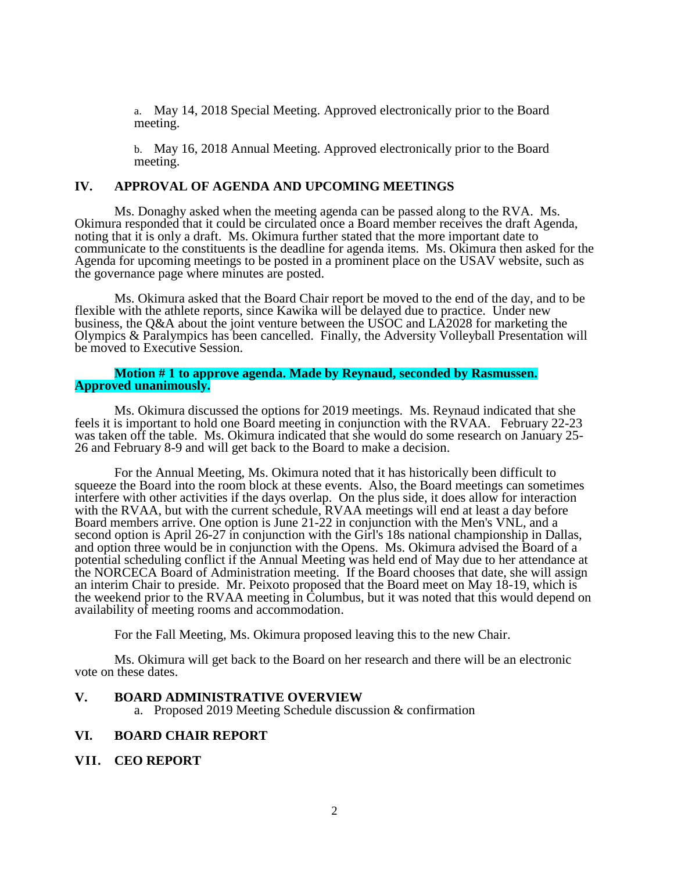a. May 14, 2018 Special Meeting. Approved electronically prior to the Board meeting.

b. May 16, 2018 Annual Meeting. Approved electronically prior to the Board meeting.

#### **IV. APPROVAL OF AGENDA AND UPCOMING MEETINGS**

Ms. Donaghy asked when the meeting agenda can be passed along to the RVA. Ms. Okimura responded that it could be circulated once a Board member receives the draft Agenda, noting that it is only a draft. Ms. Okimura further stated that the more important date to communicate to the constituents is the deadline for agenda items. Ms. Okimura then asked for the Agenda for upcoming meetings to be posted in a prominent place on the USAV website, such as the governance page where minutes are posted.

Ms. Okimura asked that the Board Chair report be moved to the end of the day, and to be flexible with the athlete reports, since Kawika will be delayed due to practice. Under new business, the Q&A about the joint venture between the USOC and LA2028 for marketing the Olympics & Paralympics has been cancelled. Finally, the Adversity Volleyball Presentation will be moved to Executive Session.

#### **Motion # 1 to approve agenda. Made by Reynaud, seconded by Rasmussen. Approved unanimously.**

Ms. Okimura discussed the options for 2019 meetings. Ms. Reynaud indicated that she feels it is important to hold one Board meeting in conjunction with the RVAA. February 22-23 was taken off the table. Ms. Okimura indicated that she would do some research on January 25- 26 and February 8-9 and will get back to the Board to make a decision.

For the Annual Meeting, Ms. Okimura noted that it has historically been difficult to squeeze the Board into the room block at these events. Also, the Board meetings can sometimes interfere with other activities if the days overlap. On the plus side, it does allow for interaction with the RVAA, but with the current schedule, RVAA meetings will end at least a day before Board members arrive. One option is June 21-22 in conjunction with the Men's VNL, and a second option is April 26-27 in conjunction with the Girl's 18s national championship in Dallas, and option three would be in conjunction with the Opens. Ms. Okimura advised the Board of a potential scheduling conflict if the Annual Meeting was held end of May due to her attendance at the NORCECA Board of Administration meeting. If the Board chooses that date, she will assign an interim Chair to preside. Mr. Peixoto proposed that the Board meet on May 18-19, which is the weekend prior to the RVAA meeting in Columbus, but it was noted that this would depend on availability of meeting rooms and accommodation.

For the Fall Meeting, Ms. Okimura proposed leaving this to the new Chair.

Ms. Okimura will get back to the Board on her research and there will be an electronic vote on these dates.

### **V. BOARD ADMINISTRATIVE OVERVIEW**

a. Proposed 2019 Meeting Schedule discussion & confirmation

#### **VI. BOARD CHAIR REPORT**

**VII. CEO REPORT**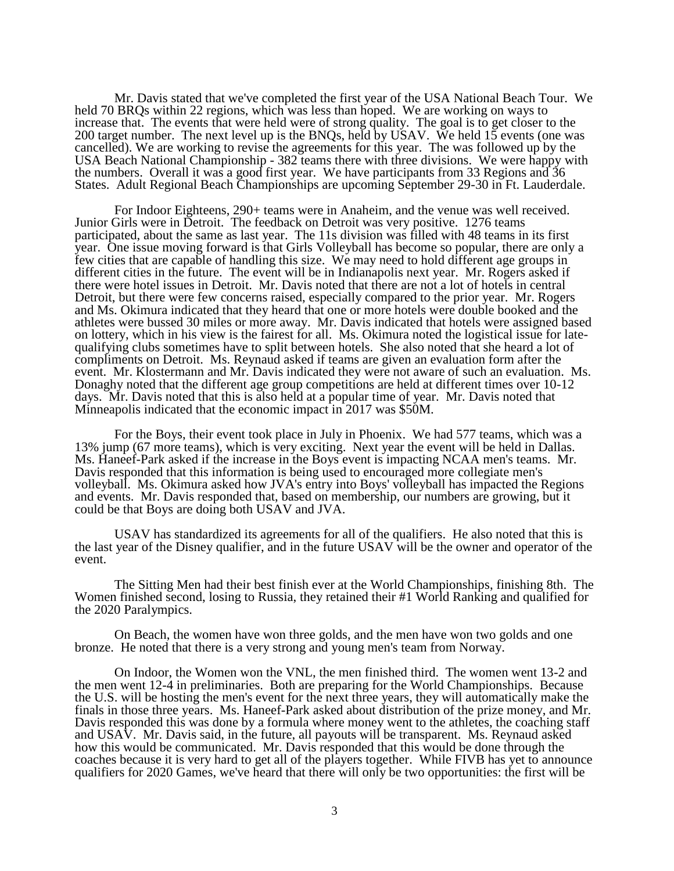Mr. Davis stated that we've completed the first year of the USA National Beach Tour. We held 70 BRQs within 22 regions, which was less than hoped. We are working on ways to increase that. The events that were held were of strong quality. The goal is to get closer to the 200 target number. The next level up is the BNQs, held by USAV. We held 15 events (one was cancelled). We are working to revise the agreements for this year. The was followed up by the USA Beach National Championship - 382 teams there with three divisions. We were happy with the numbers. Overall it was a good first year. We have participants from 33 Regions and 36 States. Adult Regional Beach Championships are upcoming September 29-30 in Ft. Lauderdale.

For Indoor Eighteens, 290+ teams were in Anaheim, and the venue was well received. Junior Girls were in Detroit. The feedback on Detroit was very positive. 1276 teams participated, about the same as last year. The 11s division was filled with 48 teams in its first year. One issue moving forward is that Girls Volleyball has become so popular, there are only a few cities that are capable of handling this size. We may need to hold different age groups in different cities in the future. The event will be in Indianapolis next year. Mr. Rogers asked if there were hotel issues in Detroit. Mr. Davis noted that there are not a lot of hotels in central Detroit, but there were few concerns raised, especially compared to the prior year. Mr. Rogers and Ms. Okimura indicated that they heard that one or more hotels were double booked and the athletes were bussed 30 miles or more away. Mr. Davis indicated that hotels were assigned based on lottery, which in his view is the fairest for all. Ms. Okimura noted the logistical issue for latequalifying clubs sometimes have to split between hotels. She also noted that she heard a lot of compliments on Detroit. Ms. Reynaud asked if teams are given an evaluation form after the event. Mr. Klostermann and Mr. Davis indicated they were not aware of such an evaluation. Ms. Donaghy noted that the different age group competitions are held at different times over 10-12 days. Mr. Davis noted that this is also held at a popular time of year. Mr. Davis noted that Minneapolis indicated that the economic impact in 2017 was \$50M.

For the Boys, their event took place in July in Phoenix. We had 577 teams, which was a 13% jump (67 more teams), which is very exciting. Next year the event will be held in Dallas. Ms. Haneef-Park asked if the increase in the Boys event is impacting NCAA men's teams. Mr. Davis responded that this information is being used to encouraged more collegiate men's volleyball. Ms. Okimura asked how JVA's entry into Boys' volleyball has impacted the Regions and events. Mr. Davis responded that, based on membership, our numbers are growing, but it could be that Boys are doing both USAV and JVA.

USAV has standardized its agreements for all of the qualifiers. He also noted that this is the last year of the Disney qualifier, and in the future USAV will be the owner and operator of the event.

The Sitting Men had their best finish ever at the World Championships, finishing 8th. The Women finished second, losing to Russia, they retained their #1 World Ranking and qualified for the 2020 Paralympics.

On Beach, the women have won three golds, and the men have won two golds and one bronze. He noted that there is a very strong and young men's team from Norway.

On Indoor, the Women won the VNL, the men finished third. The women went 13-2 and the men went 12-4 in preliminaries. Both are preparing for the World Championships. Because the U.S. will be hosting the men's event for the next three years, they will automatically make the finals in those three years. Ms. Haneef-Park asked about distribution of the prize money, and Mr. Davis responded this was done by a formula where money went to the athletes, the coaching staff and USAV. Mr. Davis said, in the future, all payouts will be transparent. Ms. Reynaud asked how this would be communicated. Mr. Davis responded that this would be done through the coaches because it is very hard to get all of the players together. While FIVB has yet to announce qualifiers for 2020 Games, we've heard that there will only be two opportunities: the first will be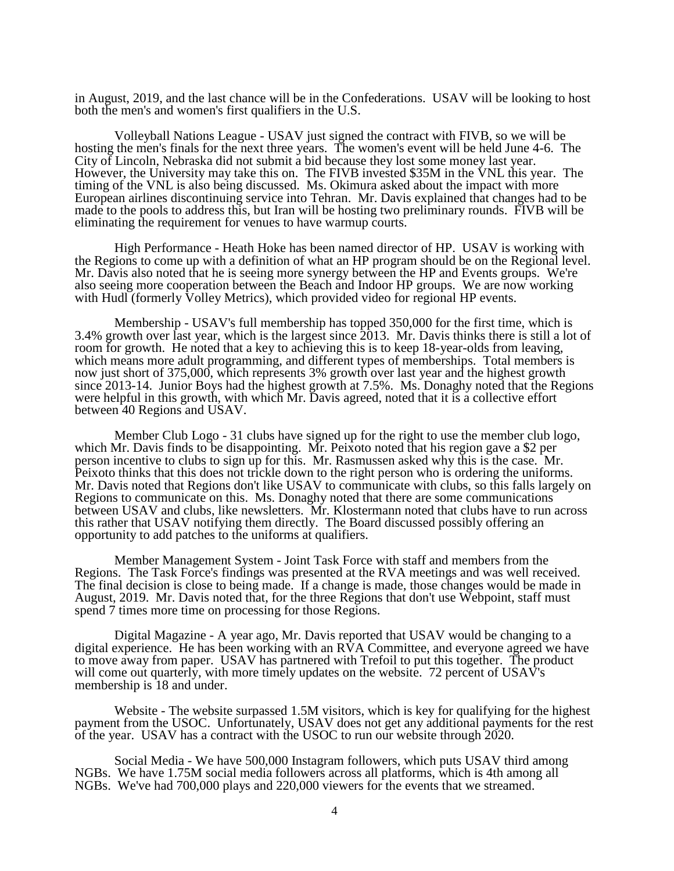in August, 2019, and the last chance will be in the Confederations. USAV will be looking to host both the men's and women's first qualifiers in the U.S.

Volleyball Nations League - USAV just signed the contract with FIVB, so we will be hosting the men's finals for the next three years. The women's event will be held June 4-6. The City of Lincoln, Nebraska did not submit a bid because they lost some money last year. However, the University may take this on. The FIVB invested \$35M in the VNL this year. The timing of the VNL is also being discussed. Ms. Okimura asked about the impact with more European airlines discontinuing service into Tehran. Mr. Davis explained that changes had to be made to the pools to address this, but Iran will be hosting two preliminary rounds. FIVB will be eliminating the requirement for venues to have warmup courts.

High Performance - Heath Hoke has been named director of HP. USAV is working with the Regions to come up with a definition of what an HP program should be on the Regional level. Mr. Davis also noted that he is seeing more synergy between the HP and Events groups. We're also seeing more cooperation between the Beach and Indoor HP groups. We are now working with Hudl (formerly Volley Metrics), which provided video for regional HP events.

Membership - USAV's full membership has topped 350,000 for the first time, which is 3.4% growth over last year, which is the largest since 2013. Mr. Davis thinks there is still a lot of room for growth. He noted that a key to achieving this is to keep 18-year-olds from leaving, which means more adult programming, and different types of memberships. Total members is now just short of 375,000, which represents 3% growth over last year and the highest growth since 2013-14. Junior Boys had the highest growth at 7.5%. Ms. Donaghy noted that the Regions were helpful in this growth, with which Mr. Davis agreed, noted that it is a collective effort between 40 Regions and USAV.

Member Club Logo - 31 clubs have signed up for the right to use the member club logo, which Mr. Davis finds to be disappointing. Mr. Peixoto noted that his region gave a \$2 per person incentive to clubs to sign up for this. Mr. Rasmussen asked why this is the case. Mr. Peixoto thinks that this does not trickle down to the right person who is ordering the uniforms. Mr. Davis noted that Regions don't like USAV to communicate with clubs, so this falls largely on Regions to communicate on this. Ms. Donaghy noted that there are some communications between USAV and clubs, like newsletters. Mr. Klostermann noted that clubs have to run across this rather that USAV notifying them directly. The Board discussed possibly offering an opportunity to add patches to the uniforms at qualifiers.

Member Management System - Joint Task Force with staff and members from the Regions. The Task Force's findings was presented at the RVA meetings and was well received. The final decision is close to being made. If a change is made, those changes would be made in August, 2019. Mr. Davis noted that, for the three Regions that don't use Webpoint, staff must spend 7 times more time on processing for those Regions.

Digital Magazine - A year ago, Mr. Davis reported that USAV would be changing to a digital experience. He has been working with an RVA Committee, and everyone agreed we have to move away from paper. USAV has partnered with Trefoil to put this together. The product will come out quarterly, with more timely updates on the website. 72 percent of USA $\vec{V}$ 's membership is 18 and under.

Website - The website surpassed 1.5M visitors, which is key for qualifying for the highest payment from the USOC. Unfortunately, USAV does not get any additional payments for the rest of the year. USAV has a contract with the USOC to run our website through 2020.

Social Media - We have 500,000 Instagram followers, which puts USAV third among NGBs. We have 1.75M social media followers across all platforms, which is 4th among all NGBs. We've had 700,000 plays and 220,000 viewers for the events that we streamed.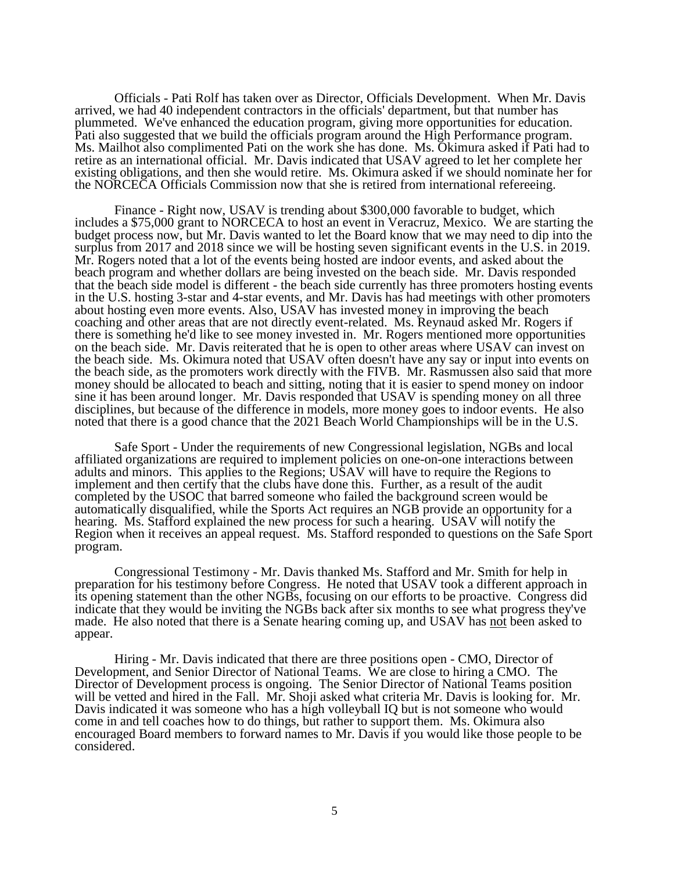Officials - Pati Rolf has taken over as Director, Officials Development. When Mr. Davis arrived, we had 40 independent contractors in the officials' department, but that number has plummeted. We've enhanced the education program, giving more opportunities for education. Pati also suggested that we build the officials program around the High Performance program. Ms. Mailhot also complimented Pati on the work she has done. Ms. Okimura asked if Pati had to retire as an international official. Mr. Davis indicated that USAV agreed to let her complete her existing obligations, and then she would retire. Ms. Okimura asked if we should nominate her for the NORCECA Officials Commission now that she is retired from international refereeing.

Finance - Right now, USAV is trending about \$300,000 favorable to budget, which includes a \$75,000 grant to NORCECA to host an event in Veracruz, Mexico. We are starting the budget process now, but Mr. Davis wanted to let the Board know that we may need to dip into the surplus from 2017 and 2018 since we will be hosting seven significant events in the U.S. in 2019. Mr. Rogers noted that a lot of the events being hosted are indoor events, and asked about the beach program and whether dollars are being invested on the beach side. Mr. Davis responded that the beach side model is different - the beach side currently has three promoters hosting events in the U.S. hosting 3-star and 4-star events, and Mr. Davis has had meetings with other promoters about hosting even more events. Also, USAV has invested money in improving the beach coaching and other areas that are not directly event-related. Ms. Reynaud asked Mr. Rogers if there is something he'd like to see money invested in. Mr. Rogers mentioned more opportunities on the beach side. Mr. Davis reiterated that he is open to other areas where USAV can invest on the beach side. Ms. Okimura noted that USAV often doesn't have any say or input into events on the beach side, as the promoters work directly with the FIVB. Mr. Rasmussen also said that more money should be allocated to beach and sitting, noting that it is easier to spend money on indoor sine it has been around longer. Mr. Davis responded that USAV is spending money on all three disciplines, but because of the difference in models, more money goes to indoor events. He also noted that there is a good chance that the 2021 Beach World Championships will be in the U.S.

Safe Sport - Under the requirements of new Congressional legislation, NGBs and local affiliated organizations are required to implement policies on one-on-one interactions between adults and minors. This applies to the Regions; USAV will have to require the Regions to implement and then certify that the clubs have done this. Further, as a result of the audit completed by the USOC that barred someone who failed the background screen would be automatically disqualified, while the Sports Act requires an NGB provide an opportunity for a hearing. Ms. Stafford explained the new process for such a hearing. USAV will notify the Region when it receives an appeal request. Ms. Stafford responded to questions on the Safe Sport program.

Congressional Testimony - Mr. Davis thanked Ms. Stafford and Mr. Smith for help in preparation for his testimony before Congress. He noted that USAV took a different approach in its opening statement than the other NGBs, focusing on our efforts to be proactive. Congress did indicate that they would be inviting the NGBs back after six months to see what progress they've made. He also noted that there is a Senate hearing coming up, and USAV has not been asked to appear.

Hiring - Mr. Davis indicated that there are three positions open - CMO, Director of Development, and Senior Director of National Teams. We are close to hiring a CMO. The Director of Development process is ongoing. The Senior Director of National Teams position will be vetted and hired in the Fall. Mr. Shoji asked what criteria Mr. Davis is looking for. Mr. Davis indicated it was someone who has a high volleyball IQ but is not someone who would come in and tell coaches how to do things, but rather to support them. Ms. Okimura also encouraged Board members to forward names to Mr. Davis if you would like those people to be considered.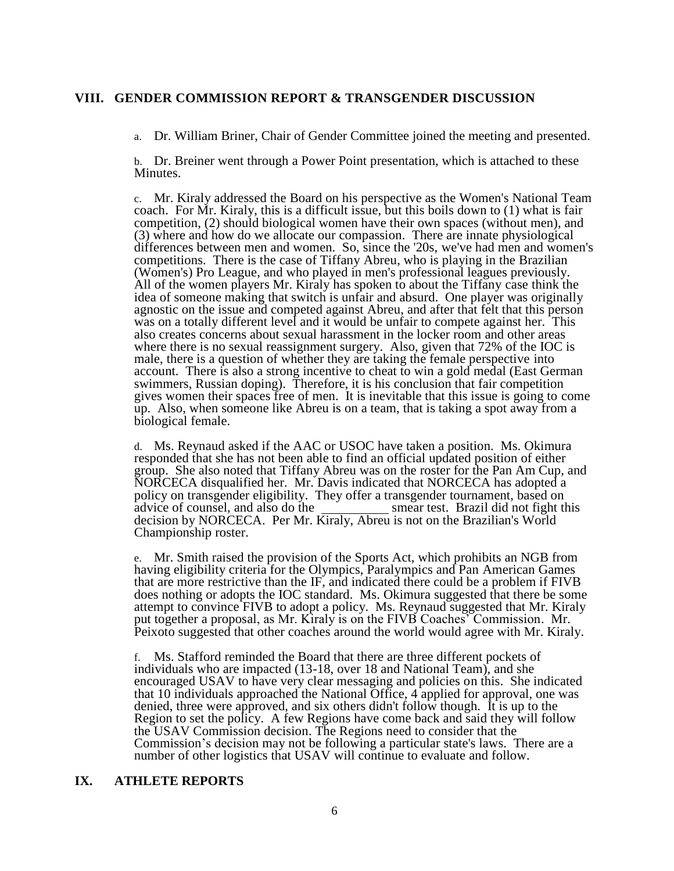### **VIII. GENDER COMMISSION REPORT & TRANSGENDER DISCUSSION**

a. Dr. William Briner, Chair of Gender Committee joined the meeting and presented.

b. Dr. Breiner went through a Power Point presentation, which is attached to these Minutes.

c. Mr. Kiraly addressed the Board on his perspective as the Women's National Team coach. For Mr. Kiraly, this is a difficult issue, but this boils down to (1) what is fair competition, (2) should biological women have their own spaces (without men), and (3) where and how do we allocate our compassion. There are innate physiological differences between men and women. So, since the '20s, we've had men and women's competitions. There is the case of Tiffany Abreu, who is playing in the Brazilian (Women's) Pro League, and who played in men's professional leagues previously. All of the women players Mr. Kiraly has spoken to about the Tiffany case think the idea of someone making that switch is unfair and absurd. One player was originally agnostic on the issue and competed against Abreu, and after that felt that this person was on a totally different level and it would be unfair to compete against her. This also creates concerns about sexual harassment in the locker room and other areas where there is no sexual reassignment surgery. Also, given that 72% of the IOC is male, there is a question of whether they are taking the female perspective into account. There is also a strong incentive to cheat to win a gold medal (East German swimmers, Russian doping). Therefore, it is his conclusion that fair competition gives women their spaces free of men. It is inevitable that this issue is going to come up. Also, when someone like Abreu is on a team, that is taking a spot away from a biological female.

d. Ms. Reynaud asked if the AAC or USOC have taken a position. Ms. Okimura responded that she has not been able to find an official updated position of either group. She also noted that Tiffany Abreu was on the roster for the Pan Am Cup, and NORCECA disqualified her. Mr. Davis indicated that NORCECA has adopted a policy on transgender eligibility. They offer a transgender tournament, based on advice of counsel, and also do the smear test. Brazil did not fight this decision by NORCECA. Per Mr. Kiraly, Abreu is not on the Brazilian's World Championship roster.

e. Mr. Smith raised the provision of the Sports Act, which prohibits an NGB from having eligibility criteria for the Olympics, Paralympics and Pan American Games that are more restrictive than the IF, and indicated there could be a problem if FIVB does nothing or adopts the IOC standard. Ms. Okimura suggested that there be some attempt to convince FIVB to adopt a policy. Ms. Reynaud suggested that Mr. Kiraly put together a proposal, as Mr. Kiraly is on the FIVB Coaches' Commission. Mr. Peixoto suggested that other coaches around the world would agree with Mr. Kiraly.

f. Ms. Stafford reminded the Board that there are three different pockets of individuals who are impacted (13-18, over 18 and National Team), and she encouraged USAV to have very clear messaging and policies on this. She indicated that 10 individuals approached the National Office, 4 applied for approval, one was denied, three were approved, and six others didn't follow though. It is up to the Region to set the policy. A few Regions have come back and said they will follow the USAV Commission decision. The Regions need to consider that the Commission's decision may not be following a particular state's laws. There are a number of other logistics that USAV will continue to evaluate and follow.

#### **IX. ATHLETE REPORTS**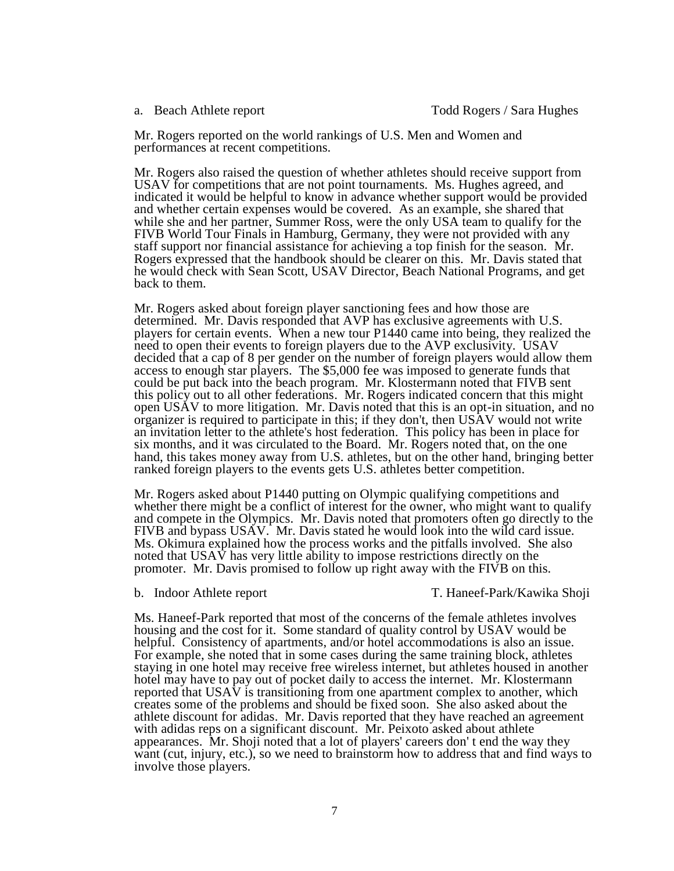Mr. Rogers reported on the world rankings of U.S. Men and Women and performances at recent competitions.

Mr. Rogers also raised the question of whether athletes should receive support from USAV for competitions that are not point tournaments. Ms. Hughes agreed, and indicated it would be helpful to know in advance whether support would be provided and whether certain expenses would be covered. As an example, she shared that while she and her partner, Summer Ross, were the only USA team to qualify for the FIVB World Tour Finals in Hamburg, Germany, they were not provided with any staff support nor financial assistance for achieving a top finish for the season. Mr. Rogers expressed that the handbook should be clearer on this. Mr. Davis stated that he would check with Sean Scott, USAV Director, Beach National Programs, and get back to them.

Mr. Rogers asked about foreign player sanctioning fees and how those are determined. Mr. Davis responded that AVP has exclusive agreements with U.S. players for certain events. When a new tour P1440 came into being, they realized the need to open their events to foreign players due to the AVP exclusivity. USAV decided that a cap of 8 per gender on the number of foreign players would allow them access to enough star players. The \$5,000 fee was imposed to generate funds that could be put back into the beach program. Mr. Klostermann noted that FIVB sent this policy out to all other federations. Mr. Rogers indicated concern that this might open USAV to more litigation. Mr. Davis noted that this is an opt-in situation, and no organizer is required to participate in this; if they don't, then USAV would not write an invitation letter to the athlete's host federation. This policy has been in place for six months, and it was circulated to the Board. Mr. Rogers noted that, on the one hand, this takes money away from U.S. athletes, but on the other hand, bringing better ranked foreign players to the events gets U.S. athletes better competition.

Mr. Rogers asked about P1440 putting on Olympic qualifying competitions and whether there might be a conflict of interest for the owner, who might want to qualify and compete in the Olympics. Mr. Davis noted that promoters often go directly to the FIVB and bypass USAV. Mr. Davis stated he would look into the wild card issue. Ms. Okimura explained how the process works and the pitfalls involved. She also noted that USAV has very little ability to impose restrictions directly on the promoter. Mr. Davis promised to follow up right away with the FIVB on this.

b. Indoor Athlete report T. Haneef-Park/Kawika Shoji

Ms. Haneef-Park reported that most of the concerns of the female athletes involves housing and the cost for it. Some standard of quality control by USAV would be helpful. Consistency of apartments, and/or hotel accommodations is also an issue. For example, she noted that in some cases during the same training block, athletes staying in one hotel may receive free wireless internet, but athletes housed in another hotel may have to pay out of pocket daily to access the internet. Mr. Klostermann reported that USAV is transitioning from one apartment complex to another, which creates some of the problems and should be fixed soon. She also asked about the athlete discount for adidas. Mr. Davis reported that they have reached an agreement with adidas reps on a significant discount. Mr. Peixoto asked about athlete appearances. Mr. Shoji noted that a lot of players' careers don' t end the way they want (cut, injury, etc.), so we need to brainstorm how to address that and find ways to involve those players.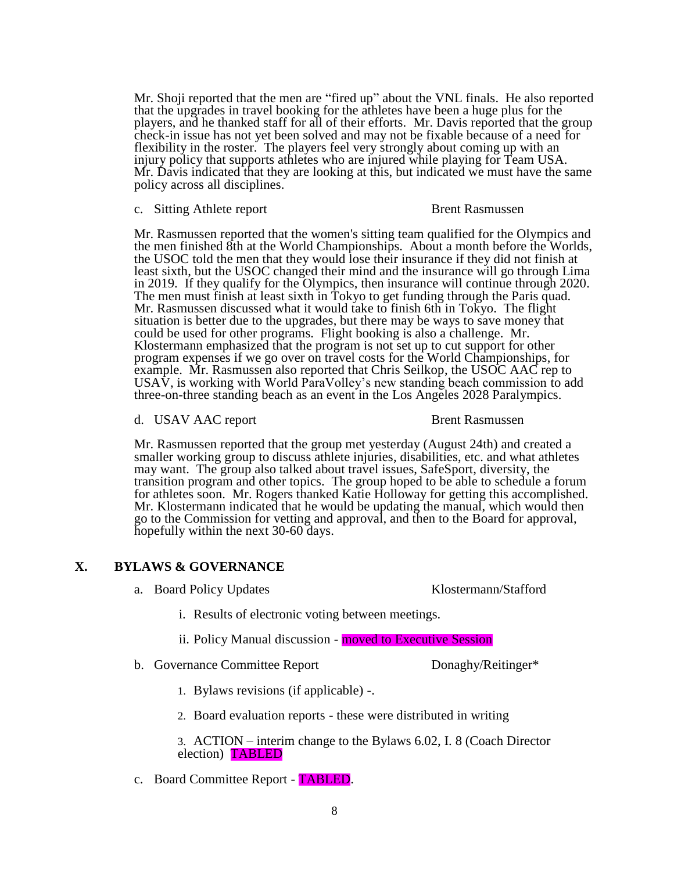Mr. Shoji reported that the men are "fired up" about the VNL finals. He also reported that the upgrades in travel booking for the athletes have been a huge plus for the players, and he thanked staff for all of their efforts. Mr. Davis reported that the group check-in issue has not yet been solved and may not be fixable because of a need for flexibility in the roster. The players feel very strongly about coming up with an injury policy that supports athletes who are injured while playing for Team USA. Mr. Davis indicated that they are looking at this, but indicated we must have the same policy across all disciplines.

c. Sitting Athlete report Brent Rasmussen

Mr. Rasmussen reported that the women's sitting team qualified for the Olympics and the men finished 8th at the World Championships. About a month before the Worlds, the USOC told the men that they would lose their insurance if they did not finish at least sixth, but the USOC changed their mind and the insurance will go through Lima in 2019. If they qualify for the Olympics, then insurance will continue through 2020. The men must finish at least sixth in Tokyo to get funding through the Paris quad. Mr. Rasmussen discussed what it would take to finish 6th in Tokyo. The flight situation is better due to the upgrades, but there may be ways to save money that could be used for other programs. Flight booking is also a challenge. Mr. Klostermann emphasized that the program is not set up to cut support for other program expenses if we go over on travel costs for the World Championships, for example. Mr. Rasmussen also reported that Chris Seilkop, the USOC AAC rep to USAV, is working with World ParaVolley's new standing beach commission to add three-on-three standing beach as an event in the Los Angeles 2028 Paralympics.

d. USAV AAC report Brent Rasmussen

Mr. Rasmussen reported that the group met yesterday (August 24th) and created a smaller working group to discuss athlete injuries, disabilities, etc. and what athletes may want. The group also talked about travel issues, SafeSport, diversity, the transition program and other topics. The group hoped to be able to schedule a forum for athletes soon. Mr. Rogers thanked Katie Holloway for getting this accomplished. Mr. Klostermann indicated that he would be updating the manual, which would then go to the Commission for vetting and approval, and then to the Board for approval, hopefully within the next 30-60 days.

### **X. BYLAWS & GOVERNANCE**

a. Board Policy Updates Klostermann/Stafford

- i. Results of electronic voting between meetings.
- ii. Policy Manual discussion moved to Executive Session
- b. Governance Committee Report Donaghy/Reitinger\*

- 1. Bylaws revisions (if applicable) -.
- 2. Board evaluation reports these were distributed in writing

3. ACTION – interim change to the Bylaws 6.02, I. 8 (Coach Director election) TABLED

c. Board Committee Report - TABLED.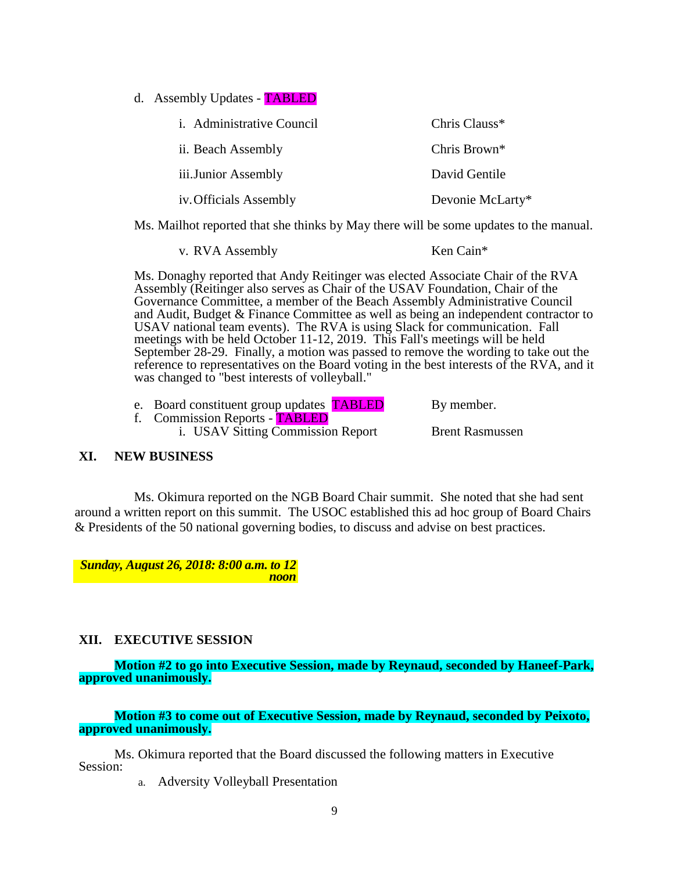d. Assembly Updates - TABLED

| <i>i.</i> Administrative Council | Chris Clauss*    |
|----------------------------------|------------------|
| ii. Beach Assembly               | Chris Brown $*$  |
| iii.Junior Assembly              | David Gentile    |
| iv. Officials Assembly           | Devonie McLarty* |

Ms. Mailhot reported that she thinks by May there will be some updates to the manual.

| v. RVA Assembly | Ken Cain* |
|-----------------|-----------|
|-----------------|-----------|

Ms. Donaghy reported that Andy Reitinger was elected Associate Chair of the RVA Assembly (Reitinger also serves as Chair of the USAV Foundation, Chair of the Governance Committee, a member of the Beach Assembly Administrative Council and Audit, Budget & Finance Committee as well as being an independent contractor to USAV national team events). The RVA is using Slack for communication. Fall meetings with be held October 11-12, 2019. This Fall's meetings will be held September 28-29. Finally, a motion was passed to remove the wording to take out the reference to representatives on the Board voting in the best interests of the RVA, and it was changed to "best interests of volleyball."

| e. Board constituent group updates <b>TABLED</b> | By member.             |
|--------------------------------------------------|------------------------|
| f. Commission Reports - <b>TABLED</b>            |                        |
| <i>i.</i> USAV Sitting Commission Report         | <b>Brent Rasmussen</b> |

# **XI. NEW BUSINESS**

Ms. Okimura reported on the NGB Board Chair summit. She noted that she had sent around a written report on this summit. The USOC established this ad hoc group of Board Chairs & Presidents of the 50 national governing bodies, to discuss and advise on best practices.

*Sunday, August 26, 2018: 8:00 a.m. to 12 noon*

### **XII. EXECUTIVE SESSION**

**Motion #2 to go into Executive Session, made by Reynaud, seconded by Haneef-Park, approved unanimously.**

**Motion #3 to come out of Executive Session, made by Reynaud, seconded by Peixoto, approved unanimously.**

Ms. Okimura reported that the Board discussed the following matters in Executive Session:

a. Adversity Volleyball Presentation